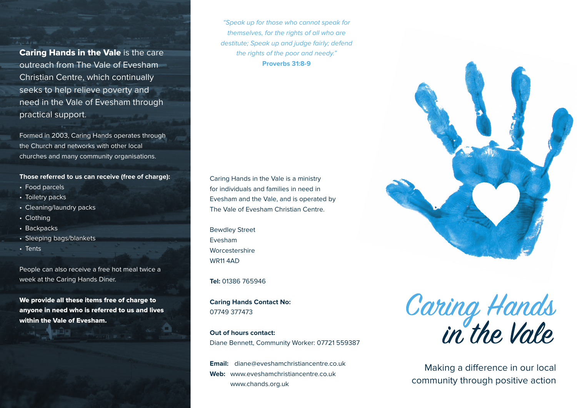Caring Hands in the Vale is the care outreach from The Vale of Evesham Christian Centre, which continually seeks to help relieve poverty and need in the Vale of Evesham through practical support.

Formed in 2003, Caring Hands operates through the Church and networks with other local churches and many community organisations.

**Those referred to us can receive (free of charge):** 

- Food parcels
- Toiletry packs
- Cleaning/laundry packs
- Clothing
- Backpacks
- Sleeping bags/blankets
- Tents

People can also receive a free hot meal twice a week at the Caring Hands Diner.

We provide all these items free of charge to anyone in need who is referred to us and lives within the Vale of Evesham.

"Speak up for those who cannot speak for themselves, for the rights of all who are destitute; Speak up and judge fairly; defend the rights of the poor and needy." **Proverbs 31:8-9**

Caring Hands in the Vale is a ministry for individuals and families in need in Evesham and the Vale, and is operated by The Vale of Evesham Christian Centre.

Bewdley Street Evesham Worcestershire WR11 4AD

**Tel:** 01386 765946

**Caring Hands Contact No:** 07749 377473

**Out of hours contact:** Diane Bennett, Community Worker: 07721 559387

**Email:** diane@eveshamchristiancentre.co.uk **Web:** www.eveshamchristiancentre.co.uk www.chands.org.uk

Caring Hands<br>in the Vale

Making a difference in our local community through positive action